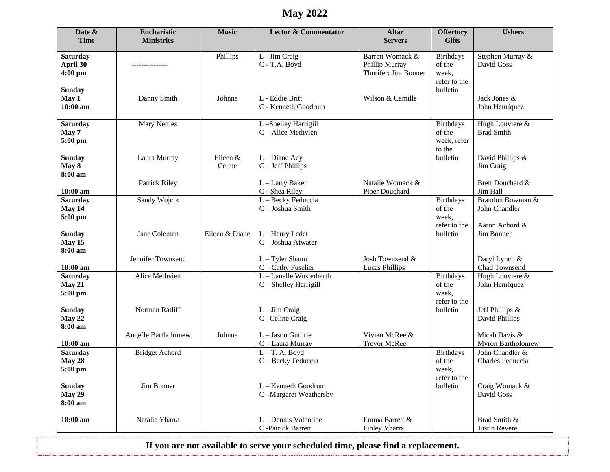## **May 2022**

| <b>Time</b><br><b>Ministries</b><br><b>Gifts</b><br><b>Servers</b><br><b>Saturday</b><br>Barrett Womack &<br><b>Birthdays</b><br>Stephen Murray &<br>Phillips<br>L - Jim Craig<br>April 30<br>Phillip Murray<br>David Goss<br>C - T.A. Boyd<br>of the<br>4:00 pm<br>Thurifer: Jim Bonner<br>week, |  |
|---------------------------------------------------------------------------------------------------------------------------------------------------------------------------------------------------------------------------------------------------------------------------------------------------|--|
|                                                                                                                                                                                                                                                                                                   |  |
|                                                                                                                                                                                                                                                                                                   |  |
|                                                                                                                                                                                                                                                                                                   |  |
| refer to the                                                                                                                                                                                                                                                                                      |  |
| bulletin<br><b>Sunday</b>                                                                                                                                                                                                                                                                         |  |
| May 1<br>Danny Smith<br>Johnna<br>L - Eddie Britt<br>Wilson & Camille<br>Jack Jones &<br>$10:00$ am<br>C - Kenneth Goodrum<br>John Henríquez                                                                                                                                                      |  |
|                                                                                                                                                                                                                                                                                                   |  |
| Hugh Louviere &<br><b>Saturday</b><br><b>Mary Nettles</b><br>L-Shelley Harrigill<br><b>Birthdays</b><br><b>Brad Smith</b><br>C - Alice Methvien<br>of the<br>May 7                                                                                                                                |  |
| 5:00 pm<br>week, refer                                                                                                                                                                                                                                                                            |  |
| to the                                                                                                                                                                                                                                                                                            |  |
| <b>Sunday</b><br>Laura Murray<br>Eileen &<br>$L$ – Diane Acy<br>bulletin<br>David Phillips &<br>May 8<br>Celine<br>$C - Jeff Phillips$<br>Jim Craig                                                                                                                                               |  |
| 8:00 am                                                                                                                                                                                                                                                                                           |  |
| $L - Larry$ Baker<br>Natalie Womack &<br>Brett Douchard &<br><b>Patrick Riley</b><br>C - Shea Riley<br>Jim Hall<br>$10:00$ am<br>Piper Douchard                                                                                                                                                   |  |
| L - Becky Feduccia<br>Brandon Bowman &<br><b>Saturday</b><br>Sandy Wojcik<br><b>Birthdays</b>                                                                                                                                                                                                     |  |
| May 14<br>$C -$ Joshua Smith<br>of the<br>John Chandler<br>5:00 pm<br>week,                                                                                                                                                                                                                       |  |
| refer to the<br>Aaron Achord &                                                                                                                                                                                                                                                                    |  |
| Jane Coleman<br>Eileen & Diane<br>Jim Bonner<br><b>Sunday</b><br>L - Henry Ledet<br>bulletin                                                                                                                                                                                                      |  |
| May 15<br>C - Joshua Atwater<br>8:00 am                                                                                                                                                                                                                                                           |  |
| Jennifer Townsend<br>Josh Townsend &<br>$L - T$ yler Shann<br>Daryl Lynch &                                                                                                                                                                                                                       |  |
| $10:00$ am<br>Chad Townsend<br>C - Cathy Fuselier<br>Lucas Phillips<br><b>Birthdays</b><br>Hugh Louviere &<br>Alice Methvien<br>L-Lanelle Wusterbarth                                                                                                                                             |  |
| <b>Saturday</b><br>May 21<br>C - Shelley Harrigill<br>of the<br>John Henriquez                                                                                                                                                                                                                    |  |
| week,<br>5:00 pm                                                                                                                                                                                                                                                                                  |  |
| refer to the<br>bulletin<br><b>Sunday</b><br>Norman Ratliff<br>$L - Jim Craig$<br>Jeff Phillips &                                                                                                                                                                                                 |  |
| May 22<br>C-Celine Craig<br>David Phillips                                                                                                                                                                                                                                                        |  |
| 8:00 am<br>L - Jason Guthrie<br>Vivian McRee &<br>Micah Davis &<br>Ange'le Bartholomew<br>Johnna                                                                                                                                                                                                  |  |
| Myron Bartholomew<br>$10:00$ am<br>C - Laura Murray<br><b>Trevor McRee</b>                                                                                                                                                                                                                        |  |
| <b>Saturday</b><br><b>Bridget Achord</b><br>$L - T$ . A. Boyd<br>John Chandler &<br><b>Birthdays</b>                                                                                                                                                                                              |  |
| May 28<br>C - Becky Feduccia<br>of the<br>Charles Feduccia<br>5:00 pm<br>week,                                                                                                                                                                                                                    |  |
| refer to the                                                                                                                                                                                                                                                                                      |  |
| L - Kenneth Goodrum<br>bulletin<br><b>Sunday</b><br>Jim Bonner<br>Craig Womack &<br><b>May 29</b><br>David Goss<br>C-Margaret Weathersby                                                                                                                                                          |  |
| 8:00 am                                                                                                                                                                                                                                                                                           |  |
|                                                                                                                                                                                                                                                                                                   |  |
| $10:00$ am<br>Natalie Ybarra<br>L – Dennis Valentine<br>Emma Barrett &<br>Brad Smith &<br>Finley Ybarra<br>C -Patrick Barrett<br>Justin Revere                                                                                                                                                    |  |

**If you are not available to serve your scheduled time, please find a replacement.**